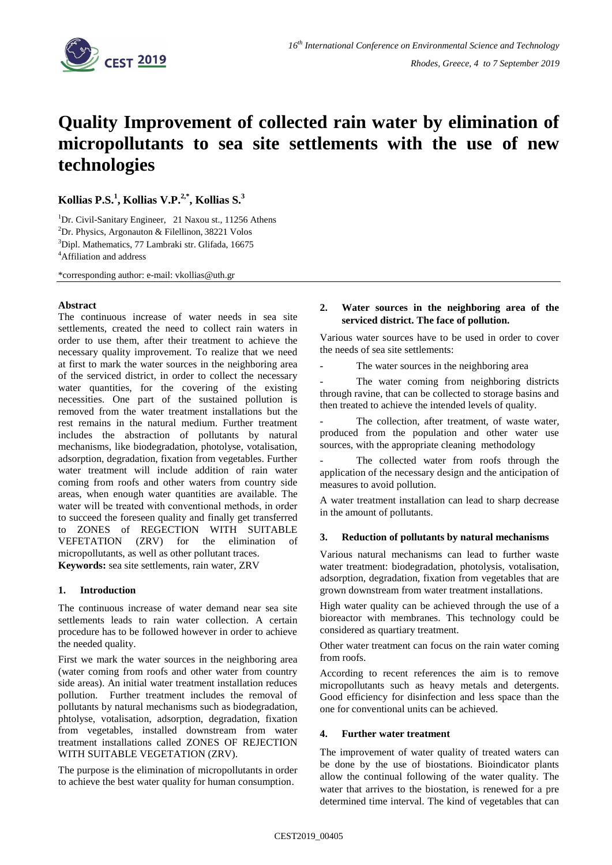

# **Quality Improvement of collected rain water by elimination of micropollutants to sea site settlements with the use of new technologies**

**Kollias P.S. 1 , Kollias V.P. 2,\* , Kollias S. 3** 

<sup>1</sup>Dr. Civil-Sanitary Engineer, 21 Naxou st., 11256 Athens <sup>2</sup>Dr. Physics, Argonauton & Filellinon, 38221 Volos <sup>3</sup>Dipl. Mathematics, 77 Lambraki str. Glifada, 16675 <sup>4</sup>Affiliation and address

\*corresponding author: e-mail: vkollias@uth.gr

## **Abstract**

The continuous increase of water needs in sea site settlements, created the need to collect rain waters in order to use them, after their treatment to achieve the necessary quality improvement. To realize that we need at first to mark the water sources in the neighboring area of the serviced district, in order to collect the necessary water quantities, for the covering of the existing necessities. One part of the sustained pollution is removed from the water treatment installations but the rest remains in the natural medium. Further treatment includes the abstraction of pollutants by natural mechanisms, like biodegradation, photolyse, votalisation, adsorption, degradation, fixation from vegetables. Further water treatment will include addition of rain water coming from roofs and other waters from country side areas, when enough water quantities are available. The water will be treated with conventional methοds, in order to succeed the foreseen quality and finally get transferred to ZONES of REGECTION WITH SUITABLE VEFETATION (ZRV) for the elimination of micropollutants, as well as other pollutant traces. **Keywords:** sea site settlements, rain water, ZRV

# **1. Introduction**

The continuous increase of water demand near sea site settlements leads to rain water collection. A certain procedure has to be followed however in order to achieve the needed quality.

First we mark the water sources in the neighboring area (water coming from roofs and other water from country side areas). An initial water treatment installation reduces pollution. Further treatment includes the removal of pollutants by natural mechanisms such as biodegradation, phtolyse, votalisation, adsorption, degradation, fixation from vegetables, installed downstream from water treatment installations called ZONES OF REJECTION WITH SUITABLE VEGETATION (ZRV).

The purpose is the elimination of micropollutants in order to achieve the best water quality for human consumption.

# **2. Water sources in the neighboring area of the serviced district. The face of pollution.**

Various water sources have to be used in order to cover the needs of sea site settlements:

The water sources in the neighboring area

The water coming from neighboring districts through ravine, that can be collected to storage basins and then treated to achieve the intended levels of quality.

The collection, after treatment, of waste water, produced from the population and other water use sources, with the appropriate cleaning methodology

The collected water from roofs through the application of the necessary design and the anticipation of measures to avoid pollution.

A water treatment installation can lead to sharp decrease in the amount of pollutants.

#### **3. Reduction of pollutants by natural mechanisms**

Various natural mechanisms can lead to further waste water treatment: biodegradation, photolysis, votalisation, adsorption, degradation, fixation from vegetables that are grown downstream from water treatment installations.

High water quality can be achieved through the use of a bioreactor with membranes. This technology could be considered as quartiary treatment.

Other water treatment can focus on the rain water coming from roofs.

According to recent references the aim is to remove micropollutants such as heavy metals and detergents. Good efficiency for disinfection and less space than the one for conventional units can be achieved.

#### **4. Further water treatment**

The improvement of water quality of treated waters can be done by the use of biostations. Bioindicator plants allow the continual following of the water quality. The water that arrives to the biostation, is renewed for a pre determined time interval. The kind of vegetables that can